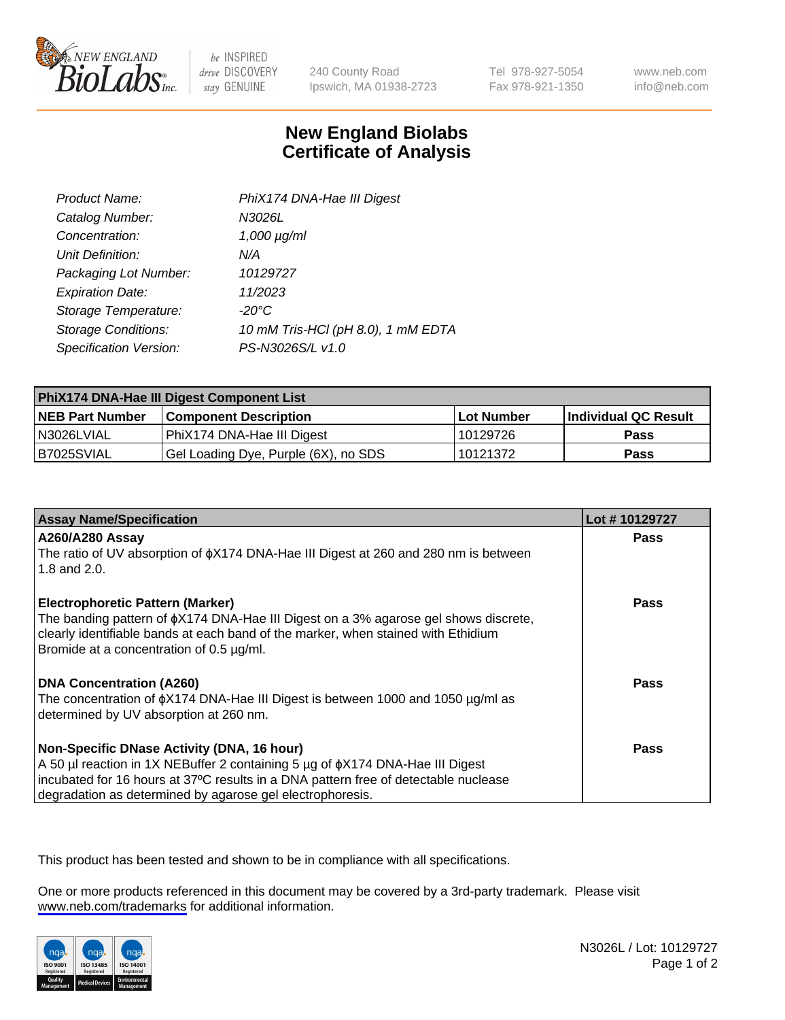

be INSPIRED drive DISCOVERY stay GENUINE

240 County Road Ipswich, MA 01938-2723 Tel 978-927-5054 Fax 978-921-1350

www.neb.com info@neb.com

## **New England Biolabs Certificate of Analysis**

| Product Name:              | PhiX174 DNA-Hae III Digest         |
|----------------------------|------------------------------------|
| Catalog Number:            | N3026L                             |
| Concentration:             | $1,000 \mu g/ml$                   |
| Unit Definition:           | N/A                                |
| Packaging Lot Number:      | 10129727                           |
| <b>Expiration Date:</b>    | 11/2023                            |
| Storage Temperature:       | -20°C                              |
| <b>Storage Conditions:</b> | 10 mM Tris-HCl (pH 8.0), 1 mM EDTA |
| Specification Version:     | PS-N3026S/L v1.0                   |

| PhiX174 DNA-Hae III Digest Component List |                                      |                   |                      |  |
|-------------------------------------------|--------------------------------------|-------------------|----------------------|--|
| <b>NEB Part Number</b>                    | <b>Component Description</b>         | <b>Lot Number</b> | Individual QC Result |  |
| I N3026LVIAL                              | PhiX174 DNA-Hae III Digest           | 10129726          | Pass                 |  |
| B7025SVIAL                                | Gel Loading Dye, Purple (6X), no SDS | 10121372          | <b>Pass</b>          |  |

| <b>Assay Name/Specification</b>                                                                                                                                                | Lot #10129727 |
|--------------------------------------------------------------------------------------------------------------------------------------------------------------------------------|---------------|
| A260/A280 Assay<br>The ratio of UV absorption of $\phi$ X174 DNA-Hae III Digest at 260 and 280 nm is between                                                                   | <b>Pass</b>   |
| 1.8 and 2.0.                                                                                                                                                                   |               |
| <b>Electrophoretic Pattern (Marker)</b>                                                                                                                                        | Pass          |
| The banding pattern of $\phi$ X174 DNA-Hae III Digest on a 3% agarose gel shows discrete,<br>clearly identifiable bands at each band of the marker, when stained with Ethidium |               |
| Bromide at a concentration of 0.5 µg/ml.                                                                                                                                       |               |
| <b>DNA Concentration (A260)</b>                                                                                                                                                | <b>Pass</b>   |
| The concentration of $\phi$ X174 DNA-Hae III Digest is between 1000 and 1050 µg/ml as<br>determined by UV absorption at 260 nm.                                                |               |
| Non-Specific DNase Activity (DNA, 16 hour)                                                                                                                                     | Pass          |
| A 50 µl reaction in 1X NEBuffer 2 containing 5 µg of $\phi$ X174 DNA-Hae III Digest                                                                                            |               |
| incubated for 16 hours at 37°C results in a DNA pattern free of detectable nuclease                                                                                            |               |
| degradation as determined by agarose gel electrophoresis.                                                                                                                      |               |

This product has been tested and shown to be in compliance with all specifications.

One or more products referenced in this document may be covered by a 3rd-party trademark. Please visit <www.neb.com/trademarks>for additional information.